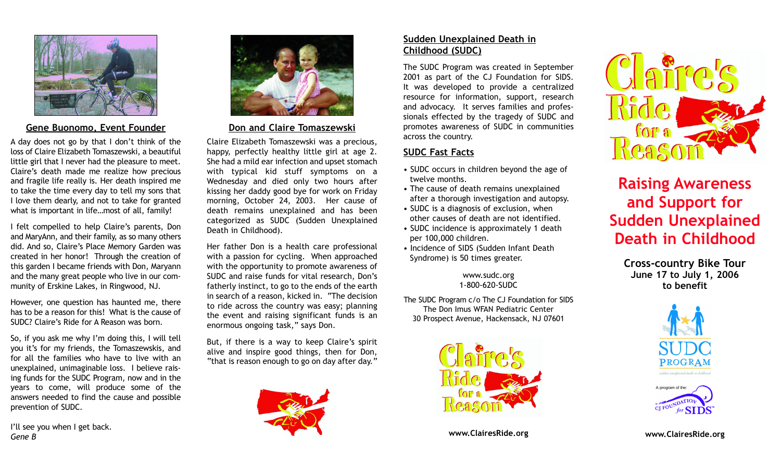

#### Gene Buonomo, Event Founder

A day does not go by that I don't think of the loss of Claire Elizabeth Tomaszewski, a beautiful little girl that I never had the pleasure to meet. Claire's death made me realize how precious and fragile life really is. Her death inspired me to take the time every day to tell my sons that I love them dearly, and not to take for granted what is important in life...most of all, family!

I felt compelled to help Claire's parents, Don and MaryAnn, and their family, as so many others did. And so, Claire's Place Memory Garden was created in her honor! Through the creation of this garden I became friends with Don, Maryann and the many great people who live in our community of Erskine Lakes, in Ringwood, NJ.

However, one question has haunted me, there has to be a reason for this! What is the cause of SUDC? Claire's Ride for A Reason was born.

So, if you ask me why I'm doing this, I will tell you it's for my friends, the Tomaszewskis, and for all the families who have to live with an unexplained, unimaginable loss. I believe raising funds for the SUDC Program, now and in the years to come, will produce some of the answers needed to find the cause and possible prevention of SUDC.

I'll see you when I get back. Gene B



Don and Claire Tomaszewski

Claire Elizabeth Tomaszewski was a precious, happy, perfectly healthy little girl at age 2. She had a mild ear infection and upset stomach with typical kid stuff symptoms on a Wednesday and died only two hours after kissing her daddy good bye for work on Friday morning, October 24, 2003. Her cause of death remains unexplained and has been categorized as SUDC (Sudden Unexplained Death in Childhood).

Her father Don is a health care professional with a passion for cycling. When approached with the opportunity to promote awareness of SUDC and raise funds for vital research, Don's fatherly instinct, to go to the ends of the earth in search of a reason, kicked in. "The decision to ride across the country was easy; planning the event and raising significant funds is an enormous ongoing task," says Don.

But, if there is a way to keep Claire's spirit alive and inspire good things, then for Don, "that is reason enough to go on day after day."



### Sudden Unexplained Death in Childhood (SUDC)

The SUDC Program was created in September 2001 as part of the CJ Foundation for SIDS. It was developed to provide a centralized resource for information, support, research and advocacy. It serves families and professionals effected by the tragedy of SUDC and promotes awareness of SUDC in communities across the country.

### SUDC Fast Facts

- SUDC occurs in children beyond the age of twelve months.
- The cause of death remains unexplained after a thorough investigation and autopsy.
- SUDC is a diagnosis of exclusion, when other causes of death are not identified.
- SUDC incidence is approximately 1 death per 100,000 children.
- Incidence of SIDS (Sudden Infant Death Syndrome) is 50 times greater.

www.sudc.org 1-800-620-SUDC

The SUDC Program c/o The CJ Foundation for SIDS The Don Imus WFAN Pediatric Center 30 Prospect Avenue, Hackensack, NJ 07601



www.ClairesRide.org



# Raising Awareness and Support for Sudden Unexplained Death in Childhood

Cross-country Bike Tour June 17 to July 1, 2006 to benefit





www.ClairesRide.org